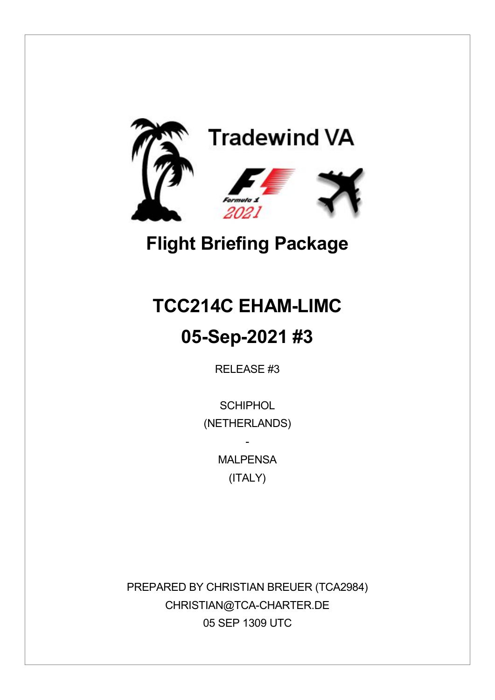

# **Flight Briefing Package**

# **TCC214C EHAM-LIMC 05-Sep-2021 #3**

RELEASE #3

**SCHIPHOL** (NETHERLANDS)

> **MAI PFNSA** (ITALY)

-

PREPARED BY CHRISTIAN BREUER (TCA2984) CHRISTIAN@TCA-CHARTER.DE 05 SEP 1309 UTC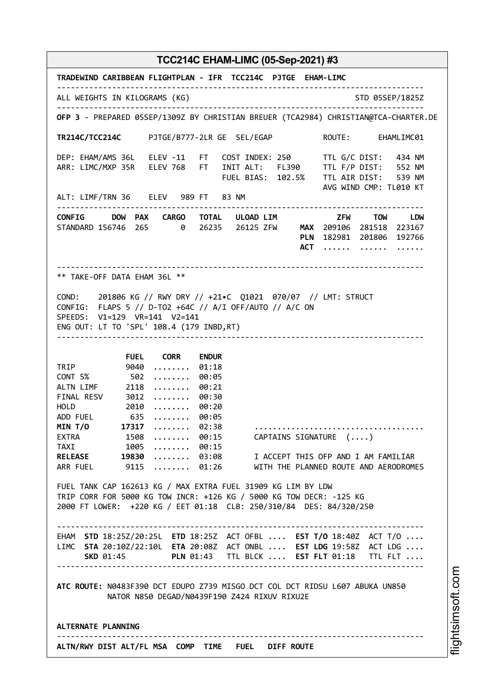| TRADEWIND CARIBBEAN FLIGHTPLAN - IFR TCC214C PJTGE EHAM-LIMC                                                                                                                                                                                                                                                                                                                                                                                                                                                                                                                                                                                                                                                                                                                                                                                                                                          |                        |
|-------------------------------------------------------------------------------------------------------------------------------------------------------------------------------------------------------------------------------------------------------------------------------------------------------------------------------------------------------------------------------------------------------------------------------------------------------------------------------------------------------------------------------------------------------------------------------------------------------------------------------------------------------------------------------------------------------------------------------------------------------------------------------------------------------------------------------------------------------------------------------------------------------|------------------------|
| ALL WEIGHTS IN KILOGRAMS (KG)                                                                                                                                                                                                                                                                                                                                                                                                                                                                                                                                                                                                                                                                                                                                                                                                                                                                         | STD 05SEP/1825Z        |
| OFP 3 - PREPARED 05SEP/1309Z BY CHRISTIAN BREUER (TCA2984) CHRISTIAN@TCA-CHARTER.DE                                                                                                                                                                                                                                                                                                                                                                                                                                                                                                                                                                                                                                                                                                                                                                                                                   |                        |
| TR214C/TCC214C PJTGE/B777-2LR GE SEL/EGAP                                                                                                                                                                                                                                                                                                                                                                                                                                                                                                                                                                                                                                                                                                                                                                                                                                                             | ROUTE: EHAMLIMC01      |
| DEP: EHAM/AMS 36L ELEV -11 FT COST INDEX: 250 TTL G/C DIST: 434 NM<br>ARR: LIMC/MXP 35R ELEV 768 FT INIT ALT: FL390 TTL F/P DIST: 552 NM<br>FUEL BIAS: 102.5% TTL AIR DIST: 539 NM                                                                                                                                                                                                                                                                                                                                                                                                                                                                                                                                                                                                                                                                                                                    | AVG WIND CMP: TL010 KT |
| ALT: LIMF/TRN 36 ELEV 989 FT 83 NM                                                                                                                                                                                                                                                                                                                                                                                                                                                                                                                                                                                                                                                                                                                                                                                                                                                                    |                        |
| CONFIG DOW PAX CARGO TOTAL ULOAD_LIM TOW TOW LDW<br>STANDARD 156746 265 0 26235 26125 ZFW MAX 209106 281518 223167<br>PLN 182981 201806 192766                                                                                                                                                                                                                                                                                                                                                                                                                                                                                                                                                                                                                                                                                                                                                        | ACT                    |
| ** TAKE-OFF DATA EHAM 36L **                                                                                                                                                                                                                                                                                                                                                                                                                                                                                                                                                                                                                                                                                                                                                                                                                                                                          |                        |
| COND: 201806 KG // RWY DRY // +21.C Q1021 070/07 // LMT: STRUCT<br>CONFIG: FLAPS 5 // D-TO2 +64C // A/I OFF/AUTO // A/C ON<br>SPEEDS: V1=129 VR=141 V2=141<br>ENG OUT: LT TO 'SPL' 108.4 (179 INBD, RT)                                                                                                                                                                                                                                                                                                                                                                                                                                                                                                                                                                                                                                                                                               |                        |
| <b>FUEL CORR</b><br><b>ENDUR</b>                                                                                                                                                                                                                                                                                                                                                                                                                                                                                                                                                                                                                                                                                                                                                                                                                                                                      |                        |
| TRIP 9040<br>01:18<br>.<br>CONT 5% 502<br>00:05<br>.<br>ALTN LIMF 2118<br>00:21<br>.<br>FINAL RESV 3012<br>00:30<br>.<br>2010<br><b>HOLD</b><br>00:20<br>.<br>ADD FUEL 635<br>$\cdots \cdots \cdots 00:05$<br>MIN T/0 17317<br>$ \dots 02:38$<br>EXTRA 1508<br>$\dots\dots$ 00:15<br>CAPTAINS SIGNATURE ()<br>TAXI 1005  00:15<br>RELEASE 19830  03:08 I ACCEPT THIS OFP AND I AM FAMILIAR<br>ARR FUEL 9115  01:26 WITH THE PLANNED ROUTE AND AERODROMES<br>FUEL TANK CAP 162613 KG / MAX EXTRA FUEL 31909 KG LIM BY LDW<br>TRIP CORR FOR 5000 KG TOW INCR: +126 KG / 5000 KG TOW DECR: -125 KG<br>2000 FT LOWER: +220 KG / EET 01:18 CLB: 250/310/84 DES: 84/320/250<br>-------------------------<br>EHAM STD 18:25Z/20:25L ETD 18:25Z ACT OFBL  EST T/0 18:40Z ACT T/0<br>LIMC STA 20:10Z/22:10L ETA 20:08Z ACT ONBL  EST LDG 19:58Z ACT LDG<br>SKD 01:45 PLN 01:43 TTL BLCK  EST FLT 01:18 TTL FLT |                        |
| ATC ROUTE: N0483F390 DCT EDUPO Z739 MISGO DCT COL DCT RIDSU L607 ABUKA UN850<br>NATOR N850 DEGAD/N0439F190 Z424 RIXUV RIXU2E                                                                                                                                                                                                                                                                                                                                                                                                                                                                                                                                                                                                                                                                                                                                                                          |                        |
| ALTERNATE PLANNING                                                                                                                                                                                                                                                                                                                                                                                                                                                                                                                                                                                                                                                                                                                                                                                                                                                                                    |                        |
| ALTN/RWY DIST ALT/FL MSA COMP TIME FUEL DIFF ROUTE                                                                                                                                                                                                                                                                                                                                                                                                                                                                                                                                                                                                                                                                                                                                                                                                                                                    |                        |

i⊒<br>⊫ htsim soft.c o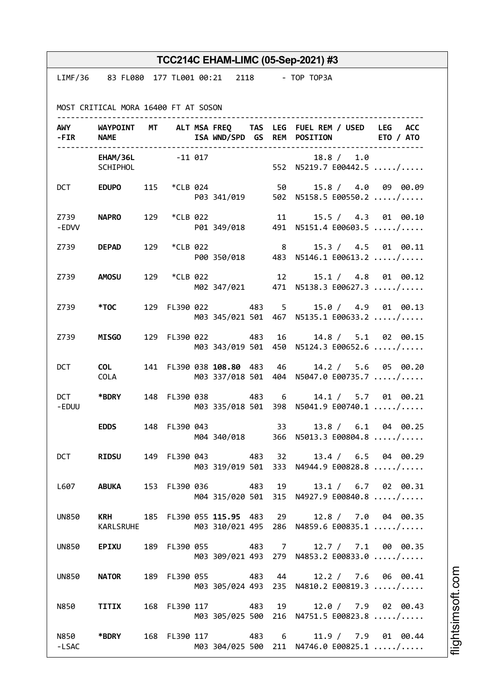|                  |                                                   |              |                             |                | TCC214C EHAM-LIMC (05-Sep-2021) #3                                                                   |  |
|------------------|---------------------------------------------------|--------------|-----------------------------|----------------|------------------------------------------------------------------------------------------------------|--|
|                  | LIMF/36 83 FL080 177 TL001 00:21 2118 - TOP TOP3A |              |                             |                |                                                                                                      |  |
|                  | MOST CRITICAL MORA 16400 FT AT SOSON              |              |                             |                |                                                                                                      |  |
|                  | - FIR NAME                                        |              |                             |                | AWY WAYPOINT MT ALT MSAFREQ TAS LEG FUEL REM / USED LEG ACC<br>ISA WND/SPD GS REM POSITION ETO / ATO |  |
|                  | EHAM/36L -11 017<br>SCHIPHOL                      |              |                             |                | 18.8 / 1.0<br>552 N5219.7 E00442.5 /                                                                 |  |
|                  |                                                   |              |                             |                | DCT EDUPO 115 *CLB 024 50 15.8 / 4.0 09 00.09<br>P03 341/019 502 N5158.5 E00550.2 /                  |  |
| -EDVV            | Z739 NAPRO                                        | 129 *CLB 022 |                             |                | 11 15.5 / 4.3 01 00.10<br>P01 349/018 491 N5151.4 E00603.5 /                                         |  |
|                  | Z739 <b>DEPAD</b>                                 | 129 *CLB 022 |                             | 8 <sup>1</sup> | 15.3 / 4.5 01 00.11<br>P00 350/018 483 N5146.1 E00613.2 /                                            |  |
|                  | Z739 AMOSU                                        | 129 *CLB 022 |                             | 12             | 15.1 / 4.8 01 00.12<br>M02 347/021 471 N5138.3 E00627.3 /                                            |  |
|                  | Z739 *TOC                                         |              |                             |                | 129 FL390 022 483 5 15.0 / 4.9 01 00.13<br>M03 345/021 501 467 N5135.1 E00633.2 /                    |  |
| Z739 <b>Sand</b> | <b>MISGO</b>                                      |              | 129 FL390 022 483           | 16             | 14.8 / 5.1 02 00.15<br>M03 343/019 501 450 N5124.3 E00652.6 /                                        |  |
| DCT              | <b>COL</b><br>COLA                                |              | 141 FL390 038 108.80 483 46 |                | 14.2 / 5.6 05 00.20<br>M03 337/018 501 404 N5047.0 E00735.7 /                                        |  |
| -EDUU            | DCT *BDRY                                         |              |                             |                | 148 FL390 038 483 6 14.1 / 5.7 01 00.21<br>M03 335/018 501 398 N5041.9 E00740.1 /                    |  |
|                  | <b>EDDS</b>                                       |              |                             |                | 148 FL390 043 33 13.8 / 6.1 04 00.25<br>M04 340/018 366 N5013.3 E00804.8 /                           |  |
| <b>DCT</b>       | <b>RIDSU</b>                                      |              |                             |                | 149 FL390 043 483 32 13.4 / 6.5 04 00.29<br>M03 319/019 501 333 N4944.9 E00828.8 /                   |  |
|                  | L607 ABUKA                                        |              |                             |                | 153 FL390 036 483 19 13.1 / 6.7 02 00.31<br>M04 315/020 501 315 N4927.9 E00840.8 /                   |  |
| <b>UN850</b>     | <b>KARLSRUHE</b>                                  |              |                             |                | KRH 185 FL390 055 115.95 483 29 12.8 / 7.0 04 00.35<br>M03 310/021 495 286 N4859.6 E00835.1 /        |  |
| <b>UN850</b>     | <b>EPIXU</b>                                      |              |                             |                | 189 FL390 055 483 7 12.7 / 7.1 00 00.35<br>M03 309/021 493 279 N4853.2 E00833.0 /                    |  |
| <b>UN850</b>     | <b>NATOR</b>                                      |              |                             |                | 189 FL390 055 483 44 12.2 / 7.6 06 00.41<br>M03 305/024 493 235 N4810.2 E00819.3 /                   |  |
|                  | N850 TITIX                                        |              |                             |                | 168 FL390 117 483 19 12.0 / 7.9 02 00.43<br>M03 305/025 500 216 N4751.5 E00823.8 /                   |  |
| -LSAC            | N850 *BDRY                                        |              |                             |                | 168 FL390 117 483 6 11.9 / 7.9 01 00.44<br>M03 304/025 500 211 N4746.0 E00825.1 /                    |  |

i⊒<br>⊫ htsim s oft.c o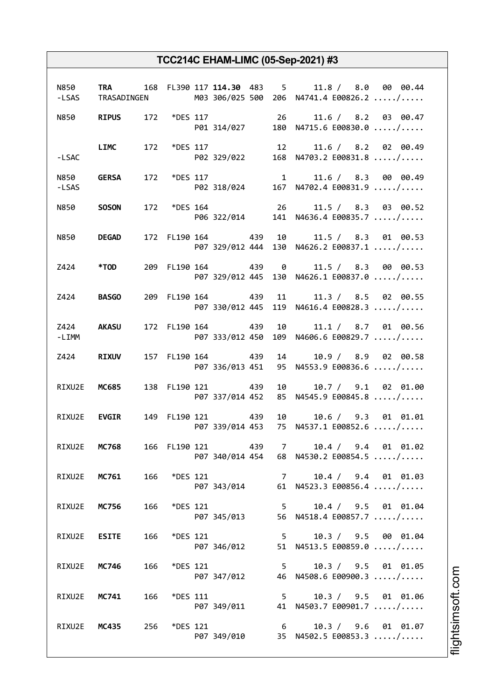|         |                     |     |                 |                   | N850 TRA 168 FL390 117 114.30 483 5 11.8 / 8.0 00 00.44<br>-LSAS TRASADINGEN M03 306/025 500 206 N4741.4 E00826.2 / |
|---------|---------------------|-----|-----------------|-------------------|---------------------------------------------------------------------------------------------------------------------|
|         |                     |     |                 |                   | N850 RIPUS 172 *DES 117 26 11.6 / 8.2 03 00.47<br>P01 314/027 180 N4715.6 E00830.0 /                                |
| -LSAC   |                     |     |                 |                   | LIMC 172 *DES 117 12 11.6 / 8.2 02 00.49<br>P02 329/022 168 N4703.2 E00831.8 /                                      |
| -LSAS   | N850 <b>GERSA</b>   |     |                 |                   | 172 *DES 117 $11.6 / 8.3$ 00 00.49<br>P02 318/024 167 N4702.4 E00831.9 /                                            |
|         | N850 <b>SOSON</b>   |     |                 |                   | 172 *DES 164 26 11.5 / 8.3 03 00.52<br>P06 322/014 141 N4636.4 E00835.7 /                                           |
|         | N850 <b>DEGAD</b>   |     |                 |                   | 172 FL190 164 439 10 11.5 / 8.3 01 00.53<br>P07 329/012 444 130 N4626.2 E00837.1 /                                  |
|         | Z424 *TOD           |     |                 |                   | 209 FL190 164 439 0 11.5 / 8.3 00 00.53<br>P07 329/012 445 130 N4626.1 E00837.0 /                                   |
|         | <b>Z424 BASGO</b>   |     |                 |                   | 209 FL190 164 439 11 11.3 / 8.5 02 00.55<br>P07 330/012 445 119 N4616.4 E00828.3 /                                  |
| $-LIMM$ | Z424 AKASU          |     |                 |                   | 172 FL190 164 439 10 11.1 / 8.7 01 00.56<br>P07 333/012 450 109 N4606.6 E00829.7 /                                  |
|         | Z424 RIXUV          |     |                 | 157 FL190 164 439 | 14 10.9 / 8.9 02 00.58<br>P07 336/013 451 95 N4553.9 E00836.6 /                                                     |
|         | RIXU2E MC685        |     |                 | 138 FL190 121 439 | 10 10.7 / 9.1 02 01.00<br>P07 337/014 452 85 N4545.9 E00845.8 /                                                     |
|         | RIXU2E <b>EVGIR</b> |     |                 | 149 FL190 121 439 | 10 10.6 / 9.3 01 01.01<br>P07 339/014 453 75 N4537.1 E00852.6 /                                                     |
|         | RIXU2E MC768        |     |                 | 166 FL190 121 439 | 7 10.4 / 9.4 01 01.02<br>P07 340/014 454 68 N4530.2 E00854.5 /                                                      |
|         | RIXU2E MC761 166    |     |                 | *DES 121          | 7 10.4 / 9.4 01 01.03<br>P07 343/014 61 N4523.3 E00856.4 /                                                          |
|         | RIXU2E MC756        | 166 | *DES 121        | P07 345/013       | 5 10.4 / 9.5 01 01.04<br>56 N4518.4 E00857.7 /                                                                      |
|         | RIXU2E <b>ESITE</b> | 166 | *DES 121        | P07 346/012       | 5 10.3 / 9.5 00 01.04<br>51 N4513.5 E00859.0 /                                                                      |
|         | RIXU2E MC746        | 166 | <i>*DES</i> 121 |                   | 5 10.3 / 9.5 01 01.05<br>P07 347/012 46 N4508.6 E00900.3 /                                                          |
|         | RIXU2E MC741        | 166 | <i>*DES</i> 111 |                   | 5 10.3 / 9.5 01 01.06<br>P07 349/011 41 N4503.7 E00901.7 /                                                          |
|         | RIXU2E MC435 256    |     | *DES 121        |                   | 6 10.3 / 9.6 01 01.07<br>P07 349/010 35 N4502.5 E00853.3 /                                                          |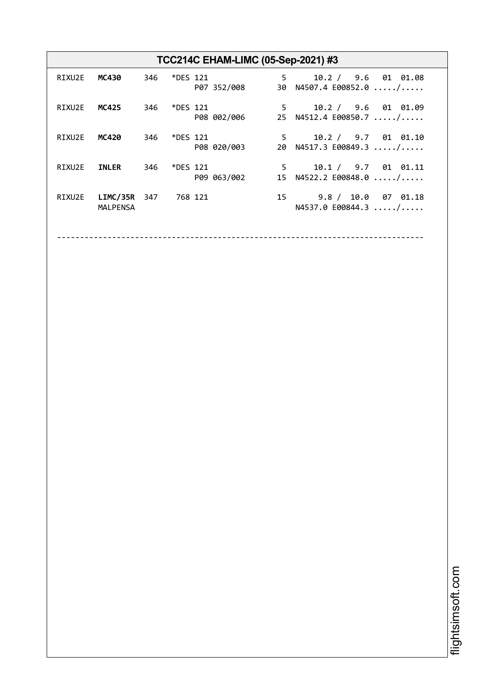|        |                                    |     |              | TCC214C EHAM-LIMC (05-Sep-2021) #3 |                                                                 |
|--------|------------------------------------|-----|--------------|------------------------------------|-----------------------------------------------------------------|
| RIXU2E | MC430                              |     | 346 *DES 121 | P07 352/008                        | $5 \t 10.2 / 9.6 01 01.08$<br>30 N4507.4 E00852.0 /             |
| RIXU2E | MC425                              | 346 | *DES 121     | P08 002/006                        | $5^{\circ}$<br>10.2 / 9.6 01 01.09<br>25 N4512.4 E00850.7 /     |
| RIXU2E | MC420                              | 346 | *DES 121     | P08 020/003                        | $5 \t 10.2 / 9.7 01 01.10$<br>20 N4517.3 E00849.3 /             |
| RIXU2E | <b>INLER</b>                       | 346 | *DES 121     | P09 063/002                        | 10.1 / 9.7 01 01.11<br>$5^{\circ}$<br>15 $N4522.2 E00848.0  / $ |
| RIXU2E | <b>LIMC/35R</b><br><b>MALPENSA</b> | 347 | 768 121      |                                    | 15 9.8 / 10.0 07 01.18<br>N4537.0 E00844.3  /                   |

--------------------------------------------------------------------------------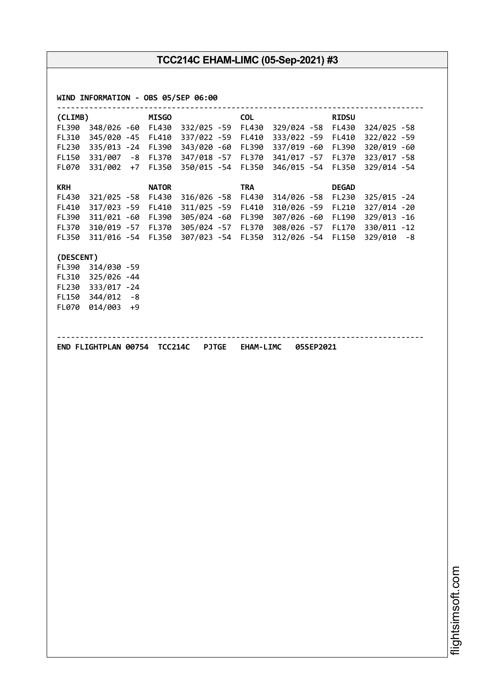| <b>COL</b><br>(CLIMB)<br><b>MISGO</b><br><b>RIDSU</b><br>FL390<br>348/026 -60 FL430 332/025 -59<br>FL430 329/024 -58 FL430<br>345/020 -45 FL410 337/022 -59<br>FL410<br>333/022 -59<br>FL310<br>FL410<br>FL230<br>335/013 -24 FL390<br>343/020 -60<br>FL390<br>337/019 -60<br>FL390<br>331/007 -8 FL370 347/018 -57<br>341/017 -57<br>FL150<br>FL370<br>FL370<br>331/002 +7<br>FL350<br>350/015 -54<br>FL350<br>346/015 -54<br>FL350<br>FL070<br><b>KRH</b><br><b>TRA</b><br><b>NATOR</b><br><b>DEGAD</b><br>FL430<br>FL230<br>321/025 -58 FL430<br>$316/026 - 58$<br>FL430<br>314/026 -58<br>FL410<br>317/023 -59 FL410<br>311/025 -59<br>FL410<br>310/026 -59<br>FL210<br>311/021 -60 FL390<br>305/024 -60<br>307/026 -60<br>FL390<br>FL390<br>FL190 | 324/025 -58<br>322/022 -59<br>320/019 -60<br>323/017 -58<br>329/014 -54 |
|--------------------------------------------------------------------------------------------------------------------------------------------------------------------------------------------------------------------------------------------------------------------------------------------------------------------------------------------------------------------------------------------------------------------------------------------------------------------------------------------------------------------------------------------------------------------------------------------------------------------------------------------------------------------------------------------------------------------------------------------------------|-------------------------------------------------------------------------|
|                                                                                                                                                                                                                                                                                                                                                                                                                                                                                                                                                                                                                                                                                                                                                        |                                                                         |
|                                                                                                                                                                                                                                                                                                                                                                                                                                                                                                                                                                                                                                                                                                                                                        |                                                                         |
|                                                                                                                                                                                                                                                                                                                                                                                                                                                                                                                                                                                                                                                                                                                                                        |                                                                         |
|                                                                                                                                                                                                                                                                                                                                                                                                                                                                                                                                                                                                                                                                                                                                                        |                                                                         |
|                                                                                                                                                                                                                                                                                                                                                                                                                                                                                                                                                                                                                                                                                                                                                        |                                                                         |
|                                                                                                                                                                                                                                                                                                                                                                                                                                                                                                                                                                                                                                                                                                                                                        |                                                                         |
|                                                                                                                                                                                                                                                                                                                                                                                                                                                                                                                                                                                                                                                                                                                                                        | 325/015 - 24                                                            |
|                                                                                                                                                                                                                                                                                                                                                                                                                                                                                                                                                                                                                                                                                                                                                        | 327/014 -20                                                             |
|                                                                                                                                                                                                                                                                                                                                                                                                                                                                                                                                                                                                                                                                                                                                                        | 329/013 -16                                                             |
| 310/019 -57 FL370 305/024 -57<br>308/026 -57<br>FL370<br>FL370<br>FL170                                                                                                                                                                                                                                                                                                                                                                                                                                                                                                                                                                                                                                                                                | 330/011 -12                                                             |
| FL350<br>311/016 -54 FL350 307/023 -54 FL350<br>312/026 -54 FL150                                                                                                                                                                                                                                                                                                                                                                                                                                                                                                                                                                                                                                                                                      | $329/010 - 8$                                                           |
| (DESCENT)                                                                                                                                                                                                                                                                                                                                                                                                                                                                                                                                                                                                                                                                                                                                              |                                                                         |
| FL390<br>314/030 -59                                                                                                                                                                                                                                                                                                                                                                                                                                                                                                                                                                                                                                                                                                                                   |                                                                         |
| 325/026 -44<br>FL310                                                                                                                                                                                                                                                                                                                                                                                                                                                                                                                                                                                                                                                                                                                                   |                                                                         |
| 333/017 -24<br>FL230                                                                                                                                                                                                                                                                                                                                                                                                                                                                                                                                                                                                                                                                                                                                   |                                                                         |
| $344/012 - 8$<br><b>FL150</b>                                                                                                                                                                                                                                                                                                                                                                                                                                                                                                                                                                                                                                                                                                                          |                                                                         |
| 014/003 +9<br><b>FL070</b>                                                                                                                                                                                                                                                                                                                                                                                                                                                                                                                                                                                                                                                                                                                             |                                                                         |
|                                                                                                                                                                                                                                                                                                                                                                                                                                                                                                                                                                                                                                                                                                                                                        |                                                                         |
|                                                                                                                                                                                                                                                                                                                                                                                                                                                                                                                                                                                                                                                                                                                                                        |                                                                         |
|                                                                                                                                                                                                                                                                                                                                                                                                                                                                                                                                                                                                                                                                                                                                                        |                                                                         |
|                                                                                                                                                                                                                                                                                                                                                                                                                                                                                                                                                                                                                                                                                                                                                        |                                                                         |
|                                                                                                                                                                                                                                                                                                                                                                                                                                                                                                                                                                                                                                                                                                                                                        |                                                                         |
|                                                                                                                                                                                                                                                                                                                                                                                                                                                                                                                                                                                                                                                                                                                                                        |                                                                         |
|                                                                                                                                                                                                                                                                                                                                                                                                                                                                                                                                                                                                                                                                                                                                                        |                                                                         |
|                                                                                                                                                                                                                                                                                                                                                                                                                                                                                                                                                                                                                                                                                                                                                        |                                                                         |
|                                                                                                                                                                                                                                                                                                                                                                                                                                                                                                                                                                                                                                                                                                                                                        |                                                                         |
|                                                                                                                                                                                                                                                                                                                                                                                                                                                                                                                                                                                                                                                                                                                                                        |                                                                         |
|                                                                                                                                                                                                                                                                                                                                                                                                                                                                                                                                                                                                                                                                                                                                                        |                                                                         |
|                                                                                                                                                                                                                                                                                                                                                                                                                                                                                                                                                                                                                                                                                                                                                        |                                                                         |
|                                                                                                                                                                                                                                                                                                                                                                                                                                                                                                                                                                                                                                                                                                                                                        |                                                                         |
|                                                                                                                                                                                                                                                                                                                                                                                                                                                                                                                                                                                                                                                                                                                                                        |                                                                         |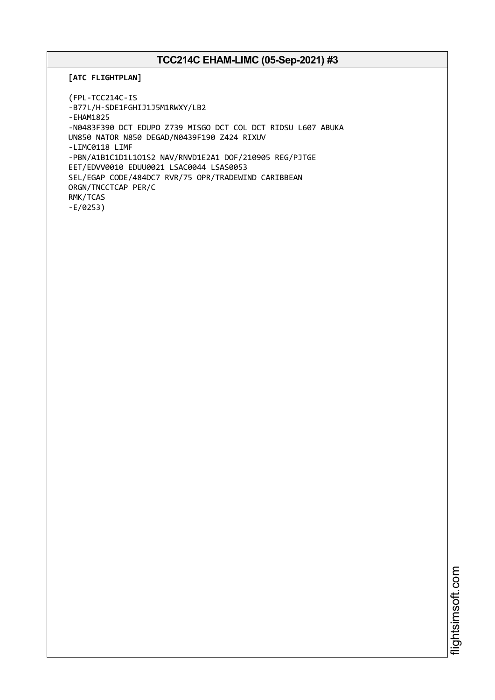**[ATC FLIGHTPLAN]**

(FPL-TCC214C-IS -B77L/H-SDE1FGHIJ1J5M1RWXY/LB2 -EHAM1825 -N0483F390 DCT EDUPO Z739 MISGO DCT COL DCT RIDSU L607 ABUKA UN850 NATOR N850 DEGAD/N0439F190 Z424 RIXUV -LIMC0118 LIMF -PBN/A1B1C1D1L1O1S2 NAV/RNVD1E2A1 DOF/210905 REG/PJTGE EET/EDVV0010 EDUU0021 LSAC0044 LSAS0053 SEL/EGAP CODE/484DC7 RVR/75 OPR/TRADEWIND CARIBBEAN ORGN/TNCCTCAP PER/C RMK/TCAS -E/0253)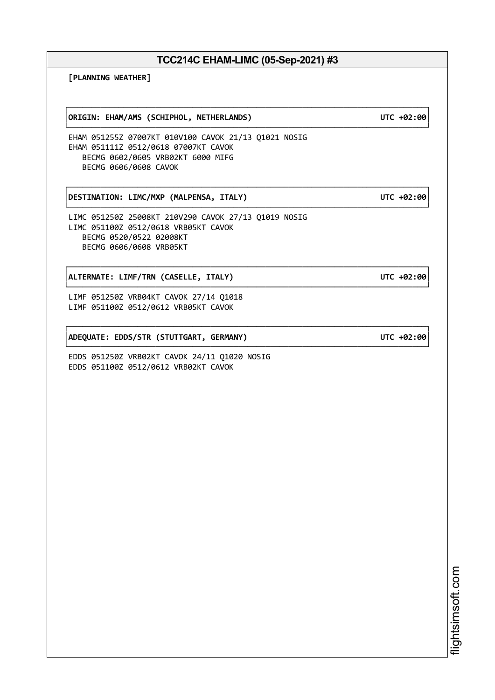┌──────────────────────────────────────────────────────────────────────────────┐

**[PLANNING WEATHER]**

┌──────────────────────────────────────────────────────────────────────────────┐ │**ORIGIN: EHAM/AMS (SCHIPHOL, NETHERLANDS) UTC +02:00**│

EHAM 051255Z 07007KT 010V100 CAVOK 21/13 Q1021 NOSIG EHAM 051111Z 0512/0618 07007KT CAVOK BECMG 0602/0605 VRB02KT 6000 MIFG BECMG 0606/0608 CAVOK

┌──────────────────────────────────────────────────────────────────────────────┐ │**DESTINATION: LIMC/MXP (MALPENSA, ITALY) UTC +02:00**│

LIMC 051250Z 25008KT 210V290 CAVOK 27/13 Q1019 NOSIG LIMC 051100Z 0512/0618 VRB05KT CAVOK BECMG 0520/0522 02008KT BECMG 0606/0608 VRB05KT

┌──────────────────────────────────────────────────────────────────────────────┐ │**ALTERNATE: LIMF/TRN (CASELLE, ITALY) UTC +02:00**│

LIMF 051250Z VRB04KT CAVOK 27/14 Q1018 LIMF 051100Z 0512/0612 VRB05KT CAVOK

│**ADEQUATE: EDDS/STR (STUTTGART, GERMANY) UTC +02:00**│

EDDS 051250Z VRB02KT CAVOK 24/11 Q1020 NOSIG EDDS 051100Z 0512/0612 VRB02KT CAVOK

> i⊒<br>⊫ htsim soft.c om

└──────────────────────────────────────────────────────────────────────────────┘

└──────────────────────────────────────────────────────────────────────────────┘

└──────────────────────────────────────────────────────────────────────────────┘

└──────────────────────────────────────────────────────────────────────────────┘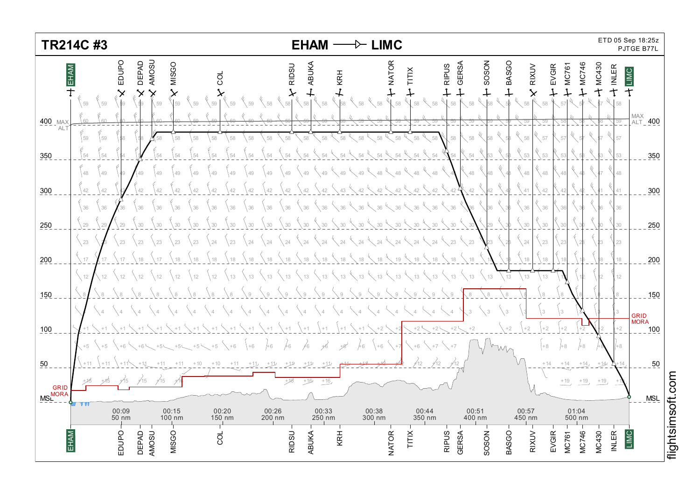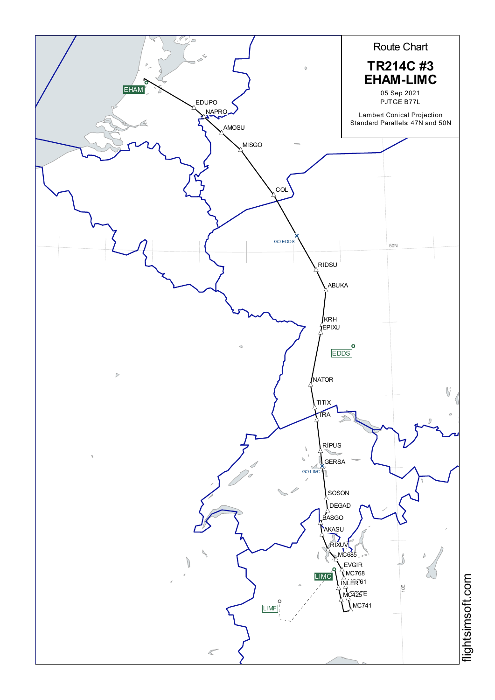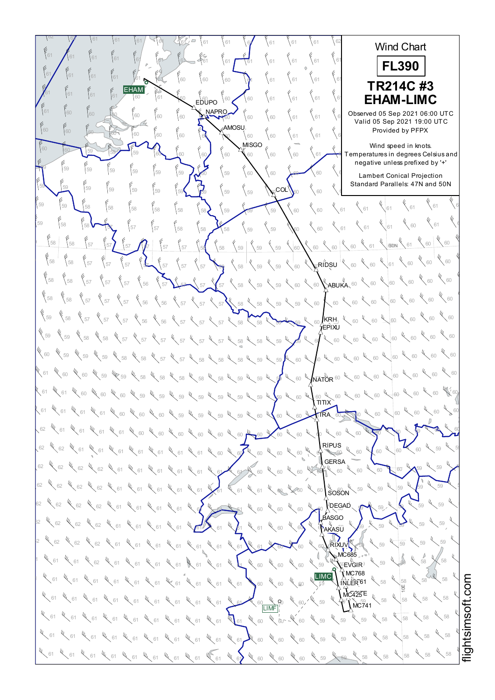$\frac{62}{52}$  61 61 61 61 62 62 62 62 Wind Chart  $^{61}$   $\bigwedge^{61}$   $^{61}$   $^{61}$   $^{60}$   $^{61}$   $^{61}$   $^{62}$   $^{63}$   $^{63}$   $^{61}$   $^{61}$   $^{61}$   $^{61}$   $^{61}$   $^{61}$   $^{61}$   $^{61}$   $^{61}$   $^{61}$ 62 62 62 **FL390** <sup>61</sup> <sup>61</sup> <sup>62</sup> <sup>61</sup> <sup>61</sup> <sup>60</sup> <sup>60</sup> <sup>60</sup> <sup>61</sup> <sup>61</sup> <sup>61</sup> <sup>61</sup> <sup>61</sup> <sup>61</sup> <sup>61</sup> <sup>61</sup> <sup>62</sup> <sup>62</sup> <sup>62</sup> **TR214C #3** EHAM<sup>®</sup>  $^{61}$   $^{61}$   $^{61}$   $^{61}$   $^{60}$   $^{61}$   $^{60}$   $^{60}$   $^{60}$   $^{60}$   $^{60}$   $^{60}$   $^{61}$   $^{61}$   $^{61}$   $^{61}$   $^{61}$   $\blacktriangleright$ <sup>62</sup> <sup>62</sup> <sup>62</sup> **EHAM-LIMC** EDUPO **NAPRO**  $\frac{61}{60}$   $\begin{bmatrix} 60\\ 60 \end{bmatrix}$   $\begin{bmatrix} 60\\ 60 \end{bmatrix}$   $\begin{bmatrix} 60\\ 60 \end{bmatrix}$   $\begin{bmatrix} 60\\ 60 \end{bmatrix}$   $\begin{bmatrix} 60\\ 60 \end{bmatrix}$   $\begin{bmatrix} 60\\ 61 \end{bmatrix}$   $\begin{bmatrix} 61\\ 61 \end{bmatrix}$   $\begin{bmatrix} 61\\ 61 \end{bmatrix}$   $\begin{bmatrix} 60\\ 61 \end{bmatrix}$   $\begin{bmatrix} 105$ Observed 05 Sep 2021 06:00 UTC Valid 05 Sep 2021 19:00 UTC AMOSU 60 60 60 60 60 60 60 60 60 60 60 60 61 61 61 61 **Provi** Provided by PFPX  $\mathbf{M}^{\text{MISGO}}$ Wind speed in knots.  $\frac{60}{10}$   $\frac{60}{10}$   $\frac{60}{100}$   $\frac{60}{100}$   $\frac{60}{100}$   $\frac{60}{100}$   $\frac{60}{100}$   $\frac{60}{100}$   $\frac{60}{100}$   $\frac{60}{100}$   $\frac{60}{100}$   $\frac{60}{100}$   $\frac{60}{100}$   $\frac{60}{100}$   $\frac{60}{100}$   $\frac{60}{100}$   $\frac{60}{100}$   $\$ which speed in Nicia.<br>Temperatures in degrees Celsius and negative unless prefixed by '+'  $\frac{69}{10}$  59  $\frac{59}{59}$   $\frac{69}{59}$   $\frac{69}{59}$   $\frac{60}{59}$   $\frac{60}{59}$   $\frac{60}{59}$   $\frac{60}{59}$   $\frac{60}{59}$   $\frac{60}{59}$ ر<br>Lambert Conical Projection Standard Parallels: 47N and 50N  $\frac{55}{59}$  59 59 59 59 59 59 59 59  $\frac{2}{59}$  59  $\frac{2}{59}$  59  $\frac{2}{59}$   $\frac{2}{59}$   $\frac{2}{59}$   $\frac{2}{59}$   $\frac{2}{59}$   $\frac{2}{59}$   $\frac{2}{59}$   $\frac{2}{59}$   $\frac{2}{59}$   $\frac{2}{59}$   $\frac{2}{59}$   $\frac{2}{59}$   $\frac{2}{59}$   $\frac{2}{59}$   $\frac$  $_{\rm COL}$  $^{\prime}$  $\leftarrow$  61  $\leftarrow$  61 <sup>61</sup> <sup>61</sup> <sup>61</sup> <sup>58</sup> <sup>58</sup> <sup>58</sup> <sup>58</sup> <sup>59</sup> <sup>59</sup> <sup>59</sup> <sup>60</sup> <sup>60</sup> <sup>58</sup> <sup>58</sup> <sup>59</sup> <sup>59</sup>  $4\frac{1}{60}$   $4\frac{1}{61}$ <sup>61</sup> <sup>61</sup> <sup>57</sup> <sup>57</sup> <sup>58</sup> <sup>58</sup> <sup>58</sup> <sup>59</sup> <sup>59</sup> <sup>60</sup> <sup>60</sup> <sup>61</sup> <sup>58</sup> <sup>57</sup> <sup>59</sup> <sup>58</sup>  $60 \times 60$  $\frac{1}{68}$  58 58 57 57 57  $\frac{1}{67}$   $\frac{1}{67}$   $\frac{1}{67}$   $\frac{1}{67}$   $\frac{1}{67}$   $\frac{1}{67}$   $\frac{1}{67}$   $\frac{1}{67}$   $\frac{1}{67}$   $\frac{1}{67}$   $\frac{1}{67}$   $\frac{1}{67}$   $\frac{1}{67}$   $\frac{1}{67}$   $\frac{1}{67}$   $\frac{1}{67}$   $\frac{1}{67}$   $\frac{1}{67$  $80N$ 60  $\frac{1}{60}$  60  $\frac{1}{60}$  58 58 57  $\frac{1}{37}$   $\frac{1}{37}$   $\frac{1}{37}$   $\frac{1}{37}$   $\frac{1}{37}$   $\frac{1}{38}$   $\frac{1}{38}$   $\frac{1}{39}$   $\frac{1}{39}$   $\frac{1}{39}$   $\frac{1}{39}$   $\frac{1}{39}$   $\frac{1}{39}$   $\frac{1}{39}$   $\frac{1}{39}$   $\frac{1}{39}$   $\frac{1}{39}$   $\frac{1}{39}$   $\frac$  $\zeta$ RIDSU  $^{|\psi\rangle}$  $60 \times 60$  $^{58}$   $\{57\}$   $\{57\}$   $\{57\}$   $\{56\}$   $\{57\}$   $\{57\}$   $\{57\}$   $\{58\}$   $\{59\}$   $\{59\}$   $\{60\}$   $\{ABUKA, 60\}$   $\{60\}$  $\sqrt[6]{\frac{60}{100}}$  $^{58}$   $\{58$   $\{57$   $\}$   $57$   $\{57$   $\}$   $56$   $\{56$   $\{57\}$   $\{57\}$   $\{57\}$   $\{58\}$   $\{58\}$   $\{59\}$   $\{59\}$   $\{60\}$   $\{60\}$   $\{60\}$   $\{60\}$  $\chi$  60 59  $\left\{58\right\}$   $\left\{57\right\}$   $\left\{57\right\}$   $\left\{57\right\}$   $\left\{56\right\}$   $\left\{57\right\}$   $\left\{57\right\}$   $\left\{57\right\}$   $\left\{58\right\}$   $\left\{58\right\}$   $\left\{58\right\}$   $\left\{58\right\}$   $\left\{58\right\}$   $\left\{60\right\}$   $\left\{50\right\}$   $\left\{60\right\}$   $\left\{60\right\$  $\,$ krh $_{\rm h}$   $^{\prime\prime}$ EPIXU 60 4 60 59  $\%$ 59  $\%$ 58  $\%$  57  $\%$  57  $\%$  57  $\%$  57  $\%$  57  $\%$  58  $\%$  58  $\%$  59  $\%$  59  $\%$  60  $\%$  60  $\%$  60  $\%$  60  $\%$  60  $\%$  60  $\%$  60  $\%$  60  $\%$  60  $\%$  60  $\%$  60  $\%$  60  $\%$  60  $\%$  60  $\%$  60  $\%$  60  $\%$  $60 \frac{4}{60}$  60  $\frac{4}{60}$ 60  $\,$  59  $\,$   $\,$  59  $\,$   $\,$  59  $\,$   $\,$   $\,$  58  $\,$   $\,$   $\,$  58  $\,$   $\,$  58  $\,$  58  $\,$   $\,$  59  $\,$  59  $\,$  59  $\,$  50  $\,$  50  $\,$  50  $\,$  50  $\,$  50  $\,$  50  $\,$  50  $\,$  50  $\,$  50  $\,$  50  $\,$  50  $\,$  50  $\$  $60 \frac{1}{60}$  60  $\frac{1}{60}$  60 61  $\chi$  60  $\chi$  60  $\chi$  59  $\chi$  59  $\chi$  58  $\chi$  58  $\chi$  58  $\chi$  58  $\chi$  58  $\chi$  59  $\chi$  59  $\chi$  59  $\chi$  60  $\chi$  60  $\chi$  60  $\chi$  60  $\chi$  60  $\chi$  60  $\chi$  60  $\chi$  60  $\chi$  60  $\chi$  60  $\chi$  60  $\chi$  60  $\chi$  60  $\chi$  60  $\chi$  60  $\$ **NATOR** <sup>60</sup> 60 W 60 61  $\ll$  61  $\ll$  60  $\ll$  60  $\ll$  60  $\ll$  60  $\ll$  69  $\ll$  60  $\ll$  60  $\ll$  60  $\ll$  60  $\ll$  60  $\ll$  60  $\ll$  60  $\ll$  60  $\ll$  60  $\ll$  60  $\ll$  60  $\ll$  60  $\ll$  60  $\ll$  60  $\ll$  60  $\ll$  60  $\ll$  60  $\ll$  60  $\ll$  60  $\ll$  60  $\ll$  60  $\$  $\frac{60}{\pi}$ X 60 61  $\ll$  61  $\ll$  61  $\ll$  61  $\ll$  60  $\ll$  60  $\ll$  60  $\ll$  60  $\ll$  60  $\ll$  60  $\ll$  60  $\ll$  60  $\ll$  60  $\ll$  60  $\ll$  60  $\ll$  60  $\ll$  60  $\ll$  60  $\ll$  60  $\ll$  60  $\ll$  60  $\ll$  60  $\ll$  60  $\ll$  60  $\ll$  60  $\ll$  60  $\ll$  60  $\ll$  60  $\$ TRA 62  $\chi$  61  $\chi$  61  $\chi$  61  $\chi$  61  $\chi$  60  $\chi$  60  $\chi$  60  $\chi$  60  $\chi$  60  $\chi$  60  $\chi$  60  $\chi$  60  $\chi$  60  $\chi$  60  $\chi$  60  $\chi$  60  $\chi$  60  $\chi$  60  $\chi$  60  $\chi$  60  $\chi$  60  $\chi$  60  $\chi$  60  $\chi$  60  $\chi$  60  $\chi$  60  $\chi$  60  $\$  $60 - 60$ RIPUS<br>} 60 62  $\ll$  62  $\ll$  61  $\ll$  61  $\ll$  61  $\ll$  61  $\ll$  61  $\ll$  61  $\ll$  61  $\ll$  61  $\ll$  60  $\ll$  60  $\ll$  60  $\ll$  60  $\ll$  60  $\ll$  60  $\ll$  60  $\ll$  60  $\ll$  60  $\ll$  60 **GERSA** 62  $\ll$  62  $\ll$  62  $\ll$  62  $\ll$  61  $\ll$  61  $\ll$  61  $\ll$  61  $\ll$  61  $\ll$  61  $\ll$  61  $\ll$  60  $\ll$  60  $\ll$  60  $\ll$  60  $\ll$  60  $\ll$  60  $\ll$  60  $\ll$  60  $\ll$  60  $\ll$  60  $\ll$  60  $\ll$  60  $\ll$  60  $\ll$  60  $\ll$  60  $\ll$  60  $\ll$  60  $\$  $59 \times 59 \times$ tı. **IL**<br>SOSON  $52$   $\%$   $52$   $\%$   $52$   $\%$   $53$   $\%$   $51$   $\%$   $51$   $\%$   $51$   $\%$   $51$   $\%$   $51$   $\%$   $51$   $\%$   $51$   $\%$   $52$   $\%$   $53$   $\%$   $55$   $\%$   $55$   $\%$   $52$   $\%$   $53$   $\%$   $55$  $59 - 59$ 62  $\sqrt{62}$   $\sqrt{62}$   $\sqrt{62}$   $\sqrt{61}$   $\sqrt{61}$   $\sqrt{61}$   $\sqrt{61}$   $\sqrt{61}$   $\sqrt{61}$   $\sqrt{61}$   $\sqrt{61}$   $\sqrt{61}$   $\sqrt{61}$   $\sqrt{61}$   $\sqrt{61}$   $\sqrt{61}$   $\sqrt{61}$   $\sqrt{61}$   $\sqrt{61}$   $\sqrt{61}$   $\sqrt{61}$   $\sqrt{61}$   $\sqrt{61}$   $\sqrt{61}$   $\$ DEGAD  $59 \times 59$ **ASGO** ric∼<br>AKASÛ  $52$   $\%$  62  $\%$  62  $\%$  62  $\%$  61  $\%$  61  $\%$  61  $\%$  61  $\%$  61  $\%$  61  $\%$  61  $\%$  61  $\%$  60  $\%$  60  $\%$  60  $\%$  60  $\%$  60  $\%$  60  $\%$  60  $\%$  60  $\%$  60  $\%$  60  $\%$  60  $\%$  60  $\%$  60  $\%$  60  $\%$  60  $\%$  60 59 59  $^{12}$   $^{13}$  62  $^{14}$  62  $^{14}$  62  $^{14}$  61  $^{14}$  61  $^{14}$  61  $^{14}$  61  $^{14}$  61  $^{14}$  61  $^{14}$  61  $^{14}$  61  $^{14}$  61  $^{14}$  61  $^{14}$  61  $^{14}$  61  $^{14}$  61  $^{14}$  61  $^{14}$  61  $^{14}$  61  $^{14}$  61  $^{14}$  62  $^{14$ **RIXUVIY**  $59$  $MC685$ 58 58  $\frac{1}{2}$   $\frac{1}{2}$   $\frac{1}{2}$   $\frac{1}{2}$   $\frac{1}{2}$   $\frac{1}{2}$   $\frac{1}{2}$   $\frac{1}{2}$   $\frac{1}{2}$   $\frac{1}{2}$   $\frac{1}{2}$   $\frac{1}{2}$   $\frac{1}{2}$   $\frac{1}{2}$   $\frac{1}{2}$   $\frac{1}{2}$   $\frac{1}{2}$   $\frac{1}{2}$   $\frac{1}{2}$   $\frac{1}{2}$   $\frac{1}{2}$   $\frac{1}{2}$   $\stackrel{U}{\mathbb{E}}$ VGIR $\stackrel{U}{\rightarrow}$  $X$ MC768  $\mathsf{LIMC}$  $\frac{1}{2}$  59  $\frac{1}{2}$  61  $\frac{1}{2}$  61  $\frac{1}{2}$  61  $\frac{1}{2}$  61  $\frac{1}{2}$  61  $\frac{1}{2}$  61  $\frac{1}{2}$  61  $\frac{1}{2}$  61  $\frac{1}{2}$  61  $\frac{1}{2}$  61  $\frac{1}{2}$  61  $\frac{1}{2}$  61  $\frac{1}{2}$  61  $\frac{1}{2}$  61  $\frac{1}{2}$  62  $\frac{1}{2}$  62 58 58 INLER<sup>61</sup> 10E  $MC425E$ 58 K 58  $\frac{1}{5}$  59  $\frac{1}{5}$  61  $\frac{1}{5}$  61  $\frac{1}{5}$  61  $\frac{1}{5}$  61  $\frac{1}{5}$  61  $\frac{1}{5}$  61  $\frac{1}{5}$  61  $\frac{1}{5}$  61  $\frac{1}{5}$  61  $\frac{1}{5}$  61  $\frac{1}{5}$  61  $\frac{1}{5}$  61  $\frac{1}{5}$  61  $\frac{1}{5}$  61  $\frac{1}{5}$  61  $\frac{1}{5}$  61  $\int$ MC741 W<sub>60</sub> W 58 4 58  $^{61}$   $^{61}$   $^{61}$   $^{61}$   $^{61}$   $^{61}$   $^{61}$   $^{61}$   $^{61}$   $^{61}$   $^{61}$   $^{61}$   $^{61}$   $^{61}$   $^{61}$   $^{61}$   $^{61}$   $^{61}$   $^{61}$   $^{61}$   $^{61}$   $^{61}$   $^{61}$   $^{61}$   $^{61}$   $^{61}$   $^{61}$   $^{61}$   $^{61}$   $^{61}$   $^{61}$   $^{61$ 58 4 58  $^{61}$   $^{61}$   $^{61}$   $^{61}$   $^{61}$   $^{61}$   $^{61}$   $^{61}$   $^{61}$   $^{61}$   $^{61}$   $^{61}$   $^{61}$   $^{61}$   $^{61}$   $^{61}$   $^{61}$   $^{61}$   $^{61}$   $^{61}$   $^{61}$   $^{61}$   $^{61}$   $^{61}$   $^{61}$   $^{61}$   $^{61}$   $^{61}$   $^{61}$   $^{61}$   $^{61}$   $^{61$ <sup>58</sup> <sup>58</sup> <sup>58</sup> <sup>61</sup> <sup>61</sup> <sup>61</sup> <sup>61</sup> <sup>61</sup> <sup>61</sup> <sup>61</sup> <sup>60</sup> <sup>60</sup> <sup>60</sup> <sup>59</sup> <sup>59</sup> <sup>61</sup> <sup>61</sup> <sup>61</sup>  $44.58$   $4.58$   $4.58$ 处

i≣ htsim soft.c o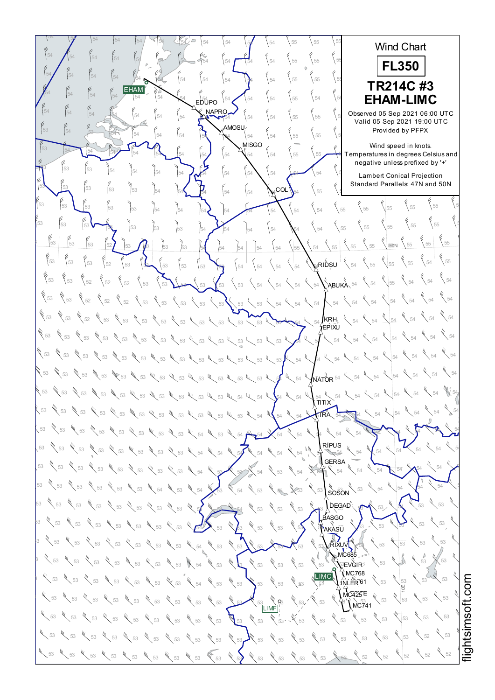$54$   $\begin{bmatrix} 54 & 54 & 54 \end{bmatrix}$   $\begin{bmatrix} 54 & 54 \end{bmatrix}$   $\begin{bmatrix} 54 & 54 \end{bmatrix}$   $\begin{bmatrix} 54 & 54 \end{bmatrix}$   $\begin{bmatrix} 54 & 5 \end{bmatrix}$   $\begin{bmatrix} 55 & 55 \end{bmatrix}$   $\begin{bmatrix} 55 & 5 \end{bmatrix}$ 55 56 55 Wind Chart 54  $\bigwedge$  54  $\bigcup$  54  $\bigcup$  54  $\bigcup$  54  $\bigcup$  54  $\bigcup$  54  $\bigcup$  55  $\bigcup$  55  $\bigcup$  55 55 55 55 **FL350** <sup>55</sup> <sup>55</sup> <sup>55</sup> <sup>54</sup> <sup>54</sup> <sup>54</sup> <sup>54</sup> <sup>54</sup> <sup>54</sup> <sup>54</sup> <sup>55</sup> <sup>55</sup> <sup>54</sup> <sup>54</sup> <sup>54</sup> <sup>54</sup> <sup>55</sup> <sup>55</sup> <sup>55</sup> **TR214C #3** EHAM  $54$  54  $\begin{bmatrix} 54 \end{bmatrix}$   $54$   $\begin{bmatrix} 54 \end{bmatrix}$   $54$   $\begin{bmatrix} 54 \end{bmatrix}$   $54$   $\begin{bmatrix} 54 \end{bmatrix}$   $54$   $\begin{bmatrix} 54 \end{bmatrix}$   $55$   $\begin{bmatrix} 54 \end{bmatrix}$   $56$   $\begin{bmatrix} 54 \end{bmatrix}$   $56$   $\begin{bmatrix} 54 \end{bmatrix}$   $56$ <sup>55</sup> <sup>55</sup> <sup>55</sup> **EHAM-LIMC** EDUPO NAPRO  $54$   $\begin{bmatrix} 54 \end{bmatrix}$   $\begin{bmatrix} 54 \end{bmatrix}$   $\begin{bmatrix} 54 \end{bmatrix}$   $\begin{bmatrix} 54 \end{bmatrix}$   $\begin{bmatrix} 54 \end{bmatrix}$   $\begin{bmatrix} 54 \end{bmatrix}$   $\begin{bmatrix} 54 \end{bmatrix}$   $\begin{bmatrix} 54 \end{bmatrix}$   $\begin{bmatrix} 54 \end{bmatrix}$   $\begin{bmatrix} 55 \end{bmatrix}$   $\begin{bmatrix} 55 \end{bmatrix}$   $\begin{bmatrix} 55 \end{bmatrix}$  Observed 05 Sep 2021 06:00 UTC Valid 05 Sep 2021 19:00 UTC AMOSU <sup>55</sup> <sup>55</sup> <sup>55</sup> <sup>54</sup> <sup>54</sup> <sup>54</sup> <sup>54</sup> <sup>54</sup> <sup>54</sup> <sup>54</sup> <sup>55</sup> <sup>55</sup> <sup>53</sup> <sup>54</sup> <sup>53</sup> <sup>54</sup> Provided by PFPX **MISGO** Wind speed in knots.  $\frac{53}{54}$   $\frac{54}{54}$   $\frac{54}{54}$   $\frac{54}{54}$   $\frac{54}{54}$   $\frac{54}{54}$   $\frac{12}{54}$   $\frac{12}{54}$   $\frac{12}{54}$   $\frac{12}{54}$   $\frac{12}{54}$  Temperatures which speed in Nicks.<br>Temperatures in degrees Celsius and negative unless prefixed by '+' <sup>55</sup> <sup>55</sup> <sup>55</sup> <sup>54</sup> <sup>54</sup> <sup>54</sup> <sup>54</sup> <sup>54</sup> <sup>54</sup> <sup>54</sup> <sup>54</sup> <sup>54</sup> <sup>53</sup> <sup>54</sup> <sup>53</sup> <sup>53</sup> ر<br>Lambert Conical Projection Standard Parallels: 47N and 50N <sup>55</sup> <sup>55</sup> <sup>53</sup> <sup>54</sup> <sup>54</sup> <sup>54</sup> <sup>54</sup> <sup>54</sup> <sup>54</sup> <sup>54</sup> <sup>55</sup> <sup>55</sup> <sup>53</sup> <sup>53</sup> <sup>53</sup> <sup>53</sup>  $_{\mathsf{COL}}$  $\left\{ \right._{55} \quad \left\{ \right._{55}$ <sup>55</sup> <sup>55</sup> <sup>55</sup> <sup>53</sup> <sup>54</sup> <sup>54</sup> <sup>54</sup> <sup>54</sup> <sup>54</sup> <sup>54</sup> <sup>54</sup> <sup>54</sup> <sup>53</sup> <sup>53</sup> <sup>53</sup> <sup>53</sup>  $rac{6}{55}$  55 <sup>55</sup> <sup>55</sup> <sup>53</sup> <sup>53</sup> <sup>53</sup> <sup>54</sup> <sup>54</sup> <sup>54</sup> <sup>54</sup> <sup>54</sup> <sup>54</sup> <sup>55</sup> <sup>53</sup> <sup>53</sup> <sup>53</sup> <sup>53</sup>  $_{55}$   $\frac{6}{55}$ 53 53 53 52 53 53 53 53 54 54 54 54 54 54 55 54 55 55 53 50N  $54 \times 55$  $\frac{1}{53}$  53  $\frac{5}{52}$  53  $\frac{6}{53}$  53  $\frac{5}{53}$  53  $\frac{5}{53}$  54  $\frac{1}{54}$   $\frac{1}{54}$   $\frac{1}{54}$   $\frac{1}{54}$   $\frac{1}{54}$   $\frac{1}{54}$   $\frac{1}{54}$   $\frac{1}{55}$   $\frac{1}{55}$  $_4$ RIDSU $^+$  $\chi$  54 53  $\{53 \}$   $\{52 \}$   $\{52 \}$   $\{53 \}$   $\{53 \}$   $\{53 \}$   $\{53 \}$   $\{53 \}$   $\{54 \}$   $\{54 \}$   $\{54 \}$   $\{54 \}$   $\{54 \}$   $\{54 \}$   $\{55 \}$  $\left\langle \right\rangle$  54 53  $\begin{bmatrix} 53 & \times 52 \end{bmatrix}$  52  $\begin{bmatrix} 52 & \times 52 \end{bmatrix}$  53  $\begin{bmatrix} 53 & \times 53 \end{bmatrix}$  53  $\begin{bmatrix} 53 & \times 53 \end{bmatrix}$  54  $\begin{bmatrix} 54 & \times 54 \end{bmatrix}$  54  $\begin{bmatrix} 54 & \times 54 \end{bmatrix}$  54  $\begin{bmatrix} 54 & \times 54 \end{bmatrix}$  $\chi$ <sub>54</sub> 53  $\frac{1}{53}$   $\frac{1}{53}$   $\frac{1}{53}$   $\frac{1}{53}$   $\frac{1}{53}$   $\frac{1}{53}$   $\frac{1}{53}$   $\frac{1}{53}$ KRH EPIXU <sup>54</sup> <sup>54</sup> <sup>54</sup> <sup>53</sup> <sup>53</sup> <sup>53</sup> <sup>53</sup> <sup>53</sup> <sup>53</sup> <sup>53</sup> <sup>53</sup> <sup>53</sup> <sup>54</sup> <sup>54</sup> <sup>54</sup> <sup>53</sup> <sup>53</sup> <sup>53</sup> <sup>53</sup>  $\chi$  54 WE 53 WE 53 WE 53 WE 53 WE 53 WE 53 WE 53 WE 53 WE 53 WE 53 WE 54 YEAR 54 WE 54 WE 54  $\sqrt{54}$ <sup>54</sup> <sup>54</sup> <sup>54</sup> <sup>53</sup> <sup>53</sup> <sup>53</sup> <sup>53</sup> <sup>53</sup> <sup>53</sup> <sup>53</sup> <sup>53</sup> <sup>54</sup> <sup>54</sup> <sup>54</sup> <sup>54</sup> <sup>53</sup> <sup>53</sup> <sup>53</sup> <sup>53</sup>  $54$ **NATOR** 54 53  $44$  53  $44$  53  $44$  53  $44$  53  $44$  53  $44$  53  $44$  53  $44$  53  $44$  54  $54$  54  $54$  54  $44$  54  $54$  54  $54$  54  $\mathbb{V}$  5 54<br>**ΤΙ ΤΙ Χ**  $53$   $\frac{u}{\sqrt{53}}$   $\frac{u}{\sqrt{53}}$   $\frac{u}{\sqrt{53}}$   $\frac{u}{\sqrt{53}}$   $\frac{u}{\sqrt{53}}$   $\frac{u}{\sqrt{53}}$   $\frac{u}{\sqrt{53}}$   $\frac{u}{\sqrt{53}}$   $\frac{u}{\sqrt{53}}$   $\frac{u}{\sqrt{53}}$   $\frac{u}{\sqrt{53}}$   $\frac{u}{\sqrt{53}}$   $\frac{u}{\sqrt{53}}$   $\frac{u}{\sqrt{53}}$   $\frac{u}{\sqrt{53}}$   $\frac{u}{$ 54 54 54 TRA 53  $\%$  53  $\%$  53  $\%$  53  $\%$  53  $\%$  53  $\%$  53  $\%$  53  $\%$  54  $\%$  54  $\%$  54  $\%$  54  $\%$  54  $\%$  54  $\%$  54  $\%$  54  $\%$  54  $\%$  54  $\%$  54  $\%$  54  $\%$  54  $\%$  54  $\%$  54  $\%$  54  $\%$  54  $\%$  54  $\%$  54  $\%$  54  $\$ 54 54 RIPUS 53  $\%$  53  $\%$  53  $\%$  53  $\%$  53  $\%$  53  $\%$  53  $\%$  53  $\%$  54  $\%$  54  $\%$  54  $\%$  54  $\%$  54  $\%$  54  $\%$  54  $\%$  54  $\%$  54  $\%$  54  $\%$  54  $\%$  54  $\%$  54  $\%$  54  $\%$  54  $\%$  54  $\%$  54  $\%$  54  $\%$  54  $\%$  54  $\$ 54 54 54 **GERSA** 53  $\frac{1}{3}$  53  $\frac{1}{3}$  53  $\frac{1}{3}$   $\frac{1}{3}$   $\frac{1}{3}$   $\frac{1}{3}$   $\frac{1}{3}$   $\frac{1}{3}$   $\frac{1}{3}$   $\frac{1}{3}$   $\frac{1}{3}$   $\frac{1}{3}$   $\frac{1}{3}$   $\frac{1}{3}$   $\frac{1}{3}$   $\frac{1}{3}$   $\frac{1}{3}$   $\frac{1}{3}$   $\frac{1}{3}$   $\frac{1}{3}$   $\frac{1}{3}$   $\$  $54 \times 54 \times$  $\bar{u}$  $53$   $\frac{8}{3}$   $\frac{53}{3}$   $\frac{6}{3}$   $\frac{53}{3}$   $\frac{6}{3}$   $\frac{54}{3}$   $\frac{6}{3}$   $\frac{54}{3}$   $\frac{6}{3}$   $\frac{53}{3}$   $\frac{6}{3}$   $\frac{6}{3}$   $\frac{6}{3}$   $\frac{6}{3}$   $\frac{6}{3}$   $\frac{6}{3}$   $\frac{6}{3}$   $\frac{6}{3}$   $\frac{6}{3}$   $\frac{6}{3}$   $\frac{6}{3}$   $54 \times 54 \times 54$ **SOSON** 53  $\%$  53  $\%$  53  $\%$  53  $\%$  53  $\%$  53  $\%$  53  $\%$  53  $\%$  53  $\%$  53  $\%$  53  $\%$  53  $\%$  53  $\%$  53  $\%$  53  $\%$  53  $\%$ DEGAD 53 53 53 **ASGO**  $53$   $\frac{8}{3}$   $\frac{8}{3}$   $\frac{8}{3}$   $\frac{1}{3}$   $\frac{1}{3}$   $\frac{1}{3}$   $\frac{1}{3}$   $\frac{1}{3}$   $\frac{1}{3}$   $\frac{1}{3}$   $\frac{1}{3}$   $\frac{1}{3}$   $\frac{1}{3}$   $\frac{1}{3}$   $\frac{1}{3}$   $\frac{1}{3}$   $\frac{1}{3}$   $\frac{1}{3}$   $\frac{1}{3}$   $\frac{1}{3}$   $\frac{1}{3}$   $\frac{1}{$ 53 53 **AKASU** ∦∑<br>RIXUV  $3$  53  $\sqrt{53}$   $\sqrt{53}$   $\sqrt{53}$   $\sqrt{53}$   $\sqrt{53}$   $\sqrt{53}$   $\sqrt{53}$   $\sqrt{53}$   $\sqrt{53}$   $\sqrt{53}$   $\sqrt{53}$   $\sqrt{53}$   $\sqrt{53}$   $\sqrt{53}$   $\sqrt{53}$   $\sqrt{53}$   $\sqrt{53}$   $\sqrt{53}$   $\sqrt{53}$   $\sqrt{53}$   $\sqrt{53}$   $\sqrt{53}$   $\sqrt{53}$   $\sqrt{53}$ 53 53  $MCRB5$ 53 53 <sup>53</sup> <sup>53</sup> <sup>53</sup> <sup>53</sup> <sup>53</sup> <sup>53</sup> <sup>53</sup> <sup>54</sup> <sup>53</sup> <sup>53</sup> <sup>53</sup> <sup>53</sup> <sup>53</sup> <sup>53</sup> <sup>53</sup> <sup>53</sup> <sup>53</sup> <sup>53</sup> <sup>53</sup> <sup>⊛</sup>EVGIR  $MO768$ LIMC  $\frac{1}{3}$  53  $\frac{1}{3}$  53  $\frac{1}{3}$   $\frac{1}{3}$   $\frac{1}{3}$   $\frac{1}{3}$   $\frac{1}{3}$   $\frac{1}{3}$   $\frac{1}{3}$   $\frac{1}{3}$   $\frac{1}{3}$   $\frac{1}{3}$   $\frac{1}{3}$   $\frac{1}{3}$   $\frac{1}{3}$   $\frac{1}{3}$   $\frac{1}{3}$   $\frac{1}{3}$   $\frac{1}{3}$   $\frac{1}{3}$   $\frac{1}{3}$   $\frac{1$ 53 53 INLER<sup>61</sup> 10E  $MC425E$  $\frac{4}{3}$ <br>  $\frac{11MF}{1}$ <br>  $\frac{1}{3}$ <br>  $\frac{1}{3}$ <br>  $\frac{1}{3}$  $53 \times 53$  $\frac{1}{5}$  53  $\frac{1}{5}$  53  $\frac{1}{5}$  53  $\frac{1}{5}$  53  $\frac{1}{5}$  53  $\frac{1}{5}$  53  $\frac{1}{5}$  53  $\frac{1}{5}$  53  $\frac{1}{5}$  53  $\frac{1}{5}$  53  $\frac{1}{5}$  53  $\frac{1}{5}$  53  $\frac{1}{5}$  53  $NCT41$  $53 \times 53$  $^{53}$   $\ll$   $^{53}$   $\ll$   $^{53}$   $^{54}$   $^{53}$   $^{53}$   $^{54}$   $^{53}$   $^{53}$   $^{54}$   $^{53}$   $^{53}$   $^{53}$   $^{53}$   $^{53}$   $^{53}$   $^{53}$   $^{53}$   $^{53}$   $^{53}$   $^{53}$   $^{53}$   $^{53}$   $^{53}$   $^{53}$   $^{53}$   $^{53}$   $^{53}$   $^{53}$   $^{53}$   $52 \times 53$  $53$   $\ll$   $53$   $\ll$   $53$   $\ll$   $53$   $\ll$   $53$   $\ll$   $53$   $\ll$   $53$   $\ll$   $53$   $\ll$   $53$   $\ll$   $53$   $\ll$   $53$   $\ll$   $53$   $\ll$   $53$   $\ll$   $53$   $\ll$   $53$   $\ll$   $53$ <sup>52</sup> <sup>52</sup> <sup>52</sup> <sup>53</sup> <sup>53</sup> <sup>53</sup> <sup>53</sup> <sup>53</sup> <sup>53</sup> <sup>53</sup> <sup>53</sup> <sup>53</sup> <sup>53</sup> <sup>53</sup> <sup>53</sup> <sup>53</sup> <sup>53</sup> <sup>53</sup>  $452$   $452$ 

i≣ htsim s oft.c o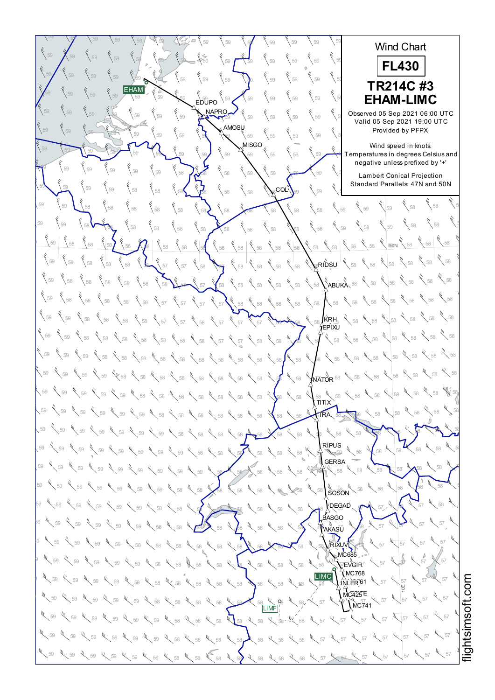$59$   $\sqrt{59}$   $\sqrt{59}$   $\sqrt{59}$   $\sqrt{59}$   $\sqrt{59}$   $\sqrt{59}$   $\sqrt{59}$   $\sqrt{59}$   $\sqrt{59}$   $\sqrt{59}$   $\sqrt{59}$   $\sqrt{59}$ 58 58 58 Wind Chart  $59$   $\bigwedge$   $59$   $\bigvee$   $59$   $\bigvee$   $59$   $\bigvee$   $59$   $\bigvee$   $59$   $\bigvee$   $59$   $\bigvee$   $59$   $\bigvee$   $59$   $\bigvee$   $59$   $\bigvee$   $59$   $\bigvee$   $59$   $\bigvee$   $59$   $\bigvee$   $59$   $\bigvee$   $59$   $\bigvee$   $59$   $\bigvee$   $59$   $\bigvee$   $59$   $\bigvee$   $59$  58 58 58 **FL430**  $59$   $\sqrt{59}$   $\sqrt{59}$   $\sqrt{59}$   $\sqrt{59}$   $\sqrt{59}$   $\sqrt{59}$   $\sqrt{59}$   $\sqrt{59}$   $\sqrt{59}$   $\sqrt{59}$   $\sqrt{59}$   $\sqrt{59}$   $\sqrt{59}$   $\sqrt{59}$   $\sqrt{59}$   $\sqrt{59}$   $\sqrt{59}$   $\sqrt{59}$   $\sqrt{59}$   $\sqrt{59}$   $\sqrt{59}$   $\sqrt{59}$   $\sqrt{59}$   $\sqrt{59}$  58 58 58 58 58 58 **TR214C #3** EHAM <sup>58</sup> <sup>58</sup> <sup>59</sup> <sup>59</sup> <sup>59</sup> <sup>59</sup> <sup>59</sup> <sup>59</sup> <sup>59</sup> <sup>59</sup> <sup>59</sup> <sup>59</sup> <sup>59</sup> <sup>59</sup> <sup>59</sup> <sup>59</sup> <sup>58</sup> <sup>58</sup> <sup>58</sup> **EHAM-LIMC** EDUPO NAPRO <sup>59</sup> <sup>59</sup> <sup>58</sup> <sup>59</sup> <sup>59</sup> <sup>59</sup> <sup>59</sup> <sup>59</sup> <sup>59</sup> <sup>59</sup> <sup>59</sup> <sup>59</sup> <sup>59</sup> <sup>59</sup> <sup>59</sup> <sup>59</sup> Observed 05 Sep 2021 06:00 UTC Valid 05 Sep 2021 19:00 UTC **AMOSU** 59  $\begin{bmatrix} 59 \\ 59 \end{bmatrix}$   $\begin{bmatrix} 59 \\ 59 \end{bmatrix}$   $\begin{bmatrix} 59 \\ 59 \end{bmatrix}$   $\begin{bmatrix} 59 \\ 58 \end{bmatrix}$   $\begin{bmatrix} 59 \\ 59 \end{bmatrix}$   $\begin{bmatrix} 59 \\ 59 \end{bmatrix}$   $\begin{bmatrix} 59 \\ 59 \end{bmatrix}$   $\begin{bmatrix} 59 \\ 59 \end{bmatrix}$   $\begin{bmatrix} 59 \\ 59 \end{bmatrix}$ Provided by PFPX Wind speed in knots.  $59$   $\frac{1}{59}$   $\frac{1}{59}$   $\frac{1}{59}$   $\frac{1}{59}$   $\frac{1}{59}$   $\frac{1}{59}$   $\frac{1}{59}$   $\frac{1}{59}$   $\frac{1}{59}$   $\frac{1}{59}$   $\frac{1}{59}$   $\frac{1}{59}$   $\frac{1}{59}$   $\frac{1}{59}$   $\frac{1}{59}$   $\frac{1}{59}$   $\frac{1}{59}$   $\frac{1}{59}$   $\frac{1}{59}$   $\frac{1}{5$ which speed in Nicks.<br>Temperatures in degrees Celsius and negative unless prefixed by '+'  $59$   $\frac{1}{59}$   $\frac{1}{59}$   $\frac{1}{59}$   $\frac{1}{59}$   $\frac{1}{59}$   $\frac{1}{59}$   $\frac{1}{59}$   $\frac{1}{59}$   $\frac{1}{59}$   $\frac{1}{59}$   $\frac{1}{59}$   $\frac{1}{59}$   $\frac{1}{59}$   $\frac{1}{59}$   $\frac{1}{59}$   $\frac{1}{59}$   $\frac{1}{59}$   $\frac{1}{59}$   $\frac{1}{59}$   $\frac{1}{5$ ر<br>Lambert Conical Projection Standard Parallels: 47N and 50N  $59$  59  $\begin{pmatrix} 59 \\ 59 \end{pmatrix}$  59  $\begin{pmatrix} 58 \\ 58 \end{pmatrix}$  58  $\begin{pmatrix} 58 \\ 58 \end{pmatrix}$   $\begin{pmatrix} 58 \\ 58 \end{pmatrix}$   $\begin{pmatrix} 58 \\ 58 \end{pmatrix}$   $\begin{pmatrix} 58 \\ 58 \end{pmatrix}$   $\begin{pmatrix} 59 \\ 59 \end{pmatrix}$   $\begin{pmatrix} 59 \\ 59 \end{pmatrix}$   $\begin{pmatrix} 59 \\ 59 \end{pmatrix}$ ∘co∟″  $\begin{matrix} 6 & 6 \ 68 & 58 \end{matrix}$ 59  $\sqrt{58}$   $\sqrt{58}$   $\sqrt{58}$   $\sqrt{58}$   $\sqrt{58}$   $\sqrt{58}$   $\sqrt{58}$   $\sqrt{58}$   $\sqrt{58}$   $\sqrt{58}$   $\sqrt{58}$   $\sqrt{59}$   $\sqrt{59}$   $\sqrt{59}$ <sup>58</sup> <sup>59</sup> <sup>58</sup> <sup>58</sup> <sup>58</sup> <sup>58</sup> <sup>58</sup> <sup>58</sup> <sup>58</sup> <sup>58</sup> <sup>58</sup> <sup>59</sup> <sup>58</sup> <sup>58</sup> <sup>59</sup> <sup>59</sup> <sup>58</sup> <sup>58</sup> <sup>58</sup> 58 58 58  $\frac{1}{58}$  58  $\frac{1}{58}$   $\frac{1}{58}$   $\frac{1}{58}$   $\frac{1}{58}$   $\frac{1}{58}$   $\frac{1}{58}$   $\frac{1}{58}$   $\frac{1}{58}$   $\frac{1}{58}$   $\frac{1}{58}$   $\frac{1}{58}$   $\frac{1}{58}$   $\frac{1}{58}$   $\frac{1}{58}$   $\frac{1}{58}$   $\frac{1}{58}$   $\frac{1}{58}$   $\frac{1}{58}$   $\frac{1}{58}$  $-40N$  $\mathbb{R}^{\mathsf{R}}$ RIDSU  $^{\mathsf{T}}$  $58^{+4}$  58 <sup>58</sup> <sup>58</sup> <sup>58</sup> <sup>58</sup> <sup>58</sup> <sup>57</sup> <sup>57</sup> <sup>58</sup> <sup>57</sup> <sup>58</sup> <sup>58</sup> <sup>58</sup> <sup>58</sup> <sup>58</sup> <sup>58</sup> <sup>58</sup> <sup>58</sup> <sup>59</sup> <sup>58</sup> <sup>59</sup> 58 58 58 <sup>58</sup> <sup>58</sup> <sup>58</sup> <sup>58</sup> <sup>58</sup> <sup>58</sup> <sup>58</sup> <sup>57</sup> <sup>58</sup> <sup>58</sup> <sup>58</sup> <sup>58</sup> <sup>58</sup> <sup>58</sup> <sup>58</sup> <sup>58</sup> <sup>58</sup> <sup>59</sup> <sup>58</sup> ABUKA 58 58 58 59  $\begin{array}{c}$  58  $\begin{array}{c}$  58  $\end{array}$  58  $\begin{array}{c}$  58  $\end{array}$  58  $\begin{array}{c}$  58  $\end{array}$  58  $\begin{array}{c}$  58  $\end{array}$  58  $\begin{array}{c}$  58  $\end{array}$  58  $\begin{array}{c}$  58  $\end{array}$  58  $\begin{array}{c}$  58  $\end{array}$  58  $\begin{array}{c}$  58  $\end{array}$  58  $\begin{array}{c}$  58  $\sqrt[4]{\phantom{0}}$  58 KRH 59  $\sqrt{58}$   $\sqrt{58}$   $\sqrt{58}$   $\sqrt{58}$   $\sqrt{58}$   $\sqrt{57}$   $\sqrt{58}$   $\sqrt{58}$   $\sqrt{58}$   $\sqrt{58}$   $\sqrt{58}$   $\sqrt{58}$   $\sqrt{58}$   $\sqrt{58}$   $\sqrt{58}$   $\sqrt{58}$   $\sqrt{58}$   $\sqrt{58}$   $\sqrt{58}$   $\sqrt{58}$   $\sqrt{58}$   $\sqrt{58}$   $\sqrt{58}$   $\sqrt{58}$   $\$ EPIXU  $\sqrt{58}$ 59  $\bigg\{58\bigg\}$  58  $\bigg\{58\bigg\}$  58  $\bigg\{58\bigg\}$  58  $\bigg\{58\bigg\}$  58  $\bigg\{58\bigg\}$  57  $\bigg\{58\bigg\}$  58  $\bigg\{58\bigg\}$  58  $\bigg\{58\bigg\}$  58  $\bigg\{58\bigg\}$  58  $\bigg\}$  58  $\bigg\{58\bigg\}$  $58 \frac{4}{58}$  58 59  $\,$  59  $\,$  59  $\,$  58  $\,$  58  $\,$  58  $\,$  58  $\,$  58  $\,$  58  $\,$  58  $\,$  58  $\,$  58  $\,$  58  $\,$  58  $\,$  58  $\,$  58  $\,$  58  $\,$  58  $\,$  58  $\,$  58  $\,$  58  $\,$  58  $\,$  58  $\,$  58  $\,$  58  $\,$  58  $\,$  58  $\,$  58  $\$  $\int_{\bar{\mathsf{N}}\bar{\mathsf{A}}\mathsf{T}\bar{\mathsf{O}}\mathsf{R}}^{\mathsf{U}}$  58  $58 \times 58$ 59  $\lesssim$  59  $\ll$  59  $\ll$  58  $\ll$  58  $\ll$  58  $\ll$  58  $\ll$  58  $\ll$  58  $\ll$  58  $\ll$  58  $\ll$  58  $\ll$  58  $\ll$  58  $\ll$  58  $\ll$  58 58 W. 59  $\,$  59  $\,$  59  $\,$  59  $\,$  59  $\,$   $\,$  59  $\,$   $\,$  58  $\,$   $\,$  58  $\,$  58  $\,$  58  $\,$  58  $\,$  58  $\,$  59  $\,$  59  $\,$  59  $\,$  59  $\,$  59  $\,$  59  $\,$  59  $\,$  59  $\,$  59  $\,$  59  $\,$  59  $\,$  59  $\,$  59  $\,$  59  $\,$ <sub>э8</sub><br>ΣITIT 58 58 58 59  $\degree$  59  $\degree$  59  $\degree$  59  $\degree$  59  $\degree$  59  $\degree$  59  $\degree$  58  $\degree$  58  $\degree$  58  $\degree$  58  $\degree$  58  $\degree$  58  $\degree$  58  $\degree$  58  $\degree$  58  $\degree$  58  $\degree$  58  $\degree$  58  $\degree$  58 TRA 59  $\sqrt{59}$   $\sqrt{59}$   $\sqrt{59}$   $\sqrt{59}$   $\sqrt{59}$   $\sqrt{59}$   $\sqrt{59}$   $\sqrt{58}$   $\sqrt{59}$   $\sqrt{59}$   $\sqrt{59}$   $\sqrt{59}$   $\sqrt{59}$   $\sqrt{59}$   $\sqrt{59}$   $\sqrt{59}$   $\sqrt{59}$   $\sqrt{59}$   $\sqrt{59}$   $\sqrt{59}$   $\sqrt{59}$   $\sqrt{59}$   $\sqrt{59}$   $\sqrt{59}$   $\$ 58 58 RIPUS 59  $\frac{1}{59}$  59  $\frac{1}{59}$  59  $\frac{1}{59}$  59  $\frac{1}{59}$  59  $\frac{1}{59}$  59  $\frac{1}{59}$  59  $\frac{1}{59}$  58  $\frac{1}{59}$  59  $\frac{1}{59}$  59  $\frac{1}{59}$  59  $\frac{1}{59}$  59  $\frac{1}{59}$  59  $\frac{1}{59}$  59  $\frac{1}{59}$  59  $\frac{1}{59}$  59  $\frac{1}{59$ 58 58 58 **GERSA**  $59$   $\swarrow$  59  $\swarrow$  59  $\swarrow$  59  $\swarrow$  59  $\swarrow$  59  $\swarrow$  59  $\swarrow$  59  $\swarrow$  58  $\swarrow$  58  $\swarrow$  58  $\swarrow$  58  $\swarrow$  58  $\swarrow$  58  $\swarrow$  58  $\swarrow$  58  $\swarrow$  58  $58 \times 58 \times$ ५<br>Soson  $59$   $\swarrow$  59  $\swarrow$  59  $\swarrow$  59  $\swarrow$  59  $\swarrow$  59  $\swarrow$  58  $\swarrow$  58  $\swarrow$  58  $\swarrow$  58  $\swarrow$  58  $\swarrow$  58  $\swarrow$  58  $\swarrow$  58  $\swarrow$  58  $\swarrow$  58  $58 \times 58 \times 5$ 59  $\sqrt{59}$  59  $\sqrt{59}$   $\sqrt{59}$   $\sqrt{59}$   $\sqrt{58}$   $\sqrt{58}$   $\sqrt{58}$   $\sqrt{58}$   $\sqrt{58}$   $\sqrt{58}$   $\sqrt{58}$   $\sqrt{58}$   $\sqrt{58}$   $\sqrt{58}$   $\sqrt{58}$   $\sqrt{58}$   $\sqrt{58}$   $\sqrt{58}$   $\sqrt{58}$   $\sqrt{58}$   $\sqrt{58}$   $\sqrt{58}$   $\sqrt{58}$   $\sqrt{58}$ DEGAD  $57 \times 58 \times$ **ASGO** " (ï<br>AKASŪ  $58$  59  $\ll$  59  $\ll$  59  $\ll$  59  $\ll$  59  $\ll$  58  $\ll$  58  $\ll$  58  $\ll$  58  $\ll$  58  $\ll$  58  $\ll$  58  $\ll$  58  $\ll$  58  $\ll$  58  $\ll$  58  $\ll$  58  $\ll$  59  $\ll$  57  $\ll$  57 57 57  $^{19}$  57 59  $^{10}$  59  $^{10}$  59  $^{10}$  59  $^{10}$  58  $^{10}$  58  $^{10}$  58  $^{10}$  58  $^{10}$  58  $^{10}$  58  $^{10}$  58  $^{10}$  58  $^{10}$  58  $^{10}$  58  $^{10}$  58  $^{10}$  58  $^{10}$  57  $^{10}$  57  $^{10}$  57  $57$ RIXUV MC685  $59$  59  $\frac{1}{3}$  59  $\frac{1}{3}$  59  $\frac{1}{3}$  59  $\frac{1}{3}$  58  $\frac{1}{3}$  58  $\frac{1}{3}$  58  $\frac{1}{3}$  58  $\frac{1}{3}$  58  $\frac{1}{3}$  58  $\frac{1}{3}$  58  $\frac{1}{3}$  58  $\frac{1}{3}$  58  $\frac{1}{3}$  59  $\frac{1}{3}$  59  $\frac{1}{3}$  57  $\frac{1}{3}$  $\bar{C}$ EVGIR  $57 \times 57$  $N$ C768 LIMC Ų,  $\frac{1}{3}$  59  $\frac{1}{3}$  59  $\frac{1}{3}$  59  $\frac{1}{3}$  58  $\frac{1}{3}$  58  $\frac{1}{3}$  58  $\frac{1}{3}$  58  $\frac{1}{3}$  58  $\frac{1}{3}$  58  $\frac{1}{3}$  58  $\frac{1}{3}$  58  $\frac{1}{3}$  58  $\frac{1}{3}$  58  $\frac{1}{3}$  58  $\frac{1}{3}$  58  $\frac{1}{3}$  58  $\frac{1}{3}$  59 57 57 INLER<sup>61</sup> htsim soft.c o10E  $MC425E$  $\frac{1}{58}$  59  $\frac{1}{58}$  59  $\frac{1}{58}$  59  $\frac{1}{58}$  59  $\frac{1}{58}$  59  $\frac{1}{58}$  59  $\frac{1}{58}$  59  $\frac{1}{58}$  59  $\frac{1}{58}$  59  $\frac{1}{58}$  59  $\frac{1}{58}$  59  $\frac{1}{58}$  59  $\frac{1}{58}$  59  $\frac{1}{58}$  59  $\frac{1}{58}$  59  $\frac{1}{58}$  57 57  $N$ C741 LIMF  $57 \frac{1}{57}$  $^{59}$   $\ll$   $^{59}$   $\ll$   $^{59}$   $\ll$   $^{59}$   $\ll$   $^{59}$   $\ll$   $^{58}$   $\ll$   $^{58}$   $\ll$   $^{58}$   $\ll$   $^{58}$   $\ll$   $^{59}$   $\ll$   $^{57}$   $\ll$   $^{57}$   $\ll$   $^{57}$   $\ll$   $^{57}$   $\ll$   $^{57}$   $\ll$   $^{57}$ ų  $57 \times 57$  $59$   $\ll$   $59$   $\ll$   $59$   $\ll$   $59$   $\ll$   $59$   $\ll$   $59$   $\ll$   $58$   $\ll$   $58$   $\ll$   $58$   $\ll$   $58$   $\ll$   $59$   $\ll$   $59$   $\ll$   $57$   $\ll$   $57$   $\ll$   $57$   $\ll$   $57$ <sup>57</sup> <sup>57</sup> <sup>57</sup> <sup>59</sup> <sup>59</sup> <sup>59</sup> <sup>58</sup> <sup>58</sup> <sup>58</sup> <sup>58</sup> <sup>58</sup> <sup>58</sup> <sup>58</sup> <sup>57</sup> <sup>57</sup> <sup>59</sup> <sup>59</sup> <sup>59</sup>  $4\sqrt{57}$   $4\sqrt{57}$ i≣